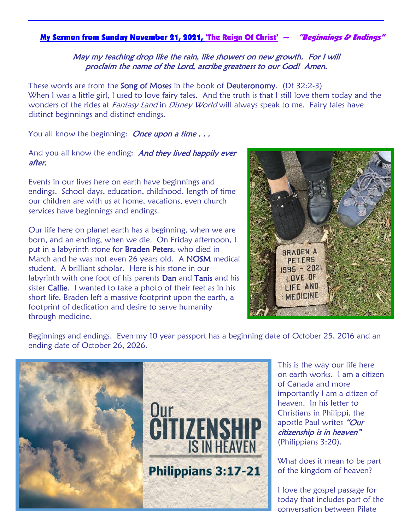### My Sermon from Sunday November 21, 2021, 'The Reign Of Christ'  $\sim$  "Beginnings & Endings"

### May my teaching drop like the rain, like showers on new growth. For I will proclaim the name of the Lord, ascribe greatness to our God! Amen.

These words are from the **Song of Moses** in the book of **Deuteronomy**. (Dt 32:2-3) When I was a little girl, I used to love fairy tales. And the truth is that I still love them today and the wonders of the rides at *Fantasy Land* in *Disney World* will always speak to me. Fairy tales have distinct beginnings and distinct endings.

You all know the beginning: **Once upon a time...** 

### And you all know the ending: And they lived happily ever after.

Events in our lives here on earth have beginnings and endings. School days, education, childhood, length of time our children are with us at home, vacations, even church services have beginnings and endings.

Our life here on planet earth has a beginning, when we are born, and an ending, when we die. On Friday afternoon, I put in a labyrinth stone for **Braden Peters**, who died in March and he was not even 26 years old. A NOSM medical student. A brilliant scholar. Here is his stone in our labyrinth with one foot of his parents **Dan** and **Tanis** and his sister Callie. I wanted to take a photo of their feet as in his short life, Braden left a massive footprint upon the earth, a footprint of dedication and desire to serve humanity through medicine.



Beginnings and endings. Even my 10 year passport has a beginning date of October 25, 2016 and an ending date of October 26, 2026.



This is the way our life here on earth works. I am a citizen of Canada and more importantly I am a citizen of heaven. In his letter to Christians in Philippi, the apostle Paul writes "Our citizenship is in heaven" (Philippians 3:20).

What does it mean to be part of the kingdom of heaven?

I love the gospel passage for today that includes part of the conversation between Pilate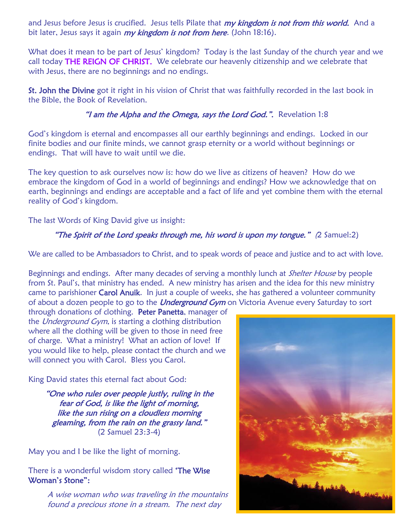and Jesus before Jesus is crucified. Jesus tells Pilate that *my kingdom is not from this world.* And a bit later, Jesus says it again *my kingdom is not from here.* (John 18:16).

What does it mean to be part of Jesus' kingdom? Today is the last Sunday of the church year and we call today THE REIGN OF CHRIST. We celebrate our heavenly citizenship and we celebrate that with Jesus, there are no beginnings and no endings.

St. John the Divine got it right in his vision of Christ that was faithfully recorded in the last book in the Bible, the Book of Revelation.

## "I am the Alpha and the Omega, says the Lord God.". Revelation 1:8

God's kingdom is eternal and encompasses all our earthly beginnings and endings. Locked in our finite bodies and our finite minds, we cannot grasp eternity or a world without beginnings or endings. That will have to wait until we die.

The key question to ask ourselves now is: how do we live as citizens of heaven? How do we embrace the kingdom of God in a world of beginnings and endings? How we acknowledge that on earth, beginnings and endings are acceptable and a fact of life and yet combine them with the eternal reality of God's kingdom.

The last Words of King David give us insight:

# "The Spirit of the Lord speaks through me, his word is upon my tongue."  $(2 \text{ Samuel:} 2)$

We are called to be Ambassadors to Christ, and to speak words of peace and justice and to act with love.

Beginnings and endings. After many decades of serving a monthly lunch at *Shelter House* by people from St. Paul's, that ministry has ended. A new ministry has arisen and the idea for this new ministry came to parishioner Carol Anuik. In just a couple of weeks, she has gathered a volunteer community of about a dozen people to go to the *Underground Gym* on Victoria Avenue every Saturday to sort

through donations of clothing. Peter Panetta, manager of the Underground Gym, is starting a clothing distribution where all the clothing will be given to those in need free of charge. What a ministry! What an action of love! If you would like to help, please contact the church and we will connect you with Carol. Bless you Carol.

King David states this eternal fact about God:

"One who rules over people justly, ruling in the fear of God, is like the light of morning, like the sun rising on a cloudless morning gleaming, from the rain on the grassy land." (2 Samuel 23:3-4)

May you and I be like the light of morning.

There is a wonderful wisdom story called 'The Wise Woman's Stone":

> A wise woman who was traveling in the mountains found a precious stone in a stream. The next day